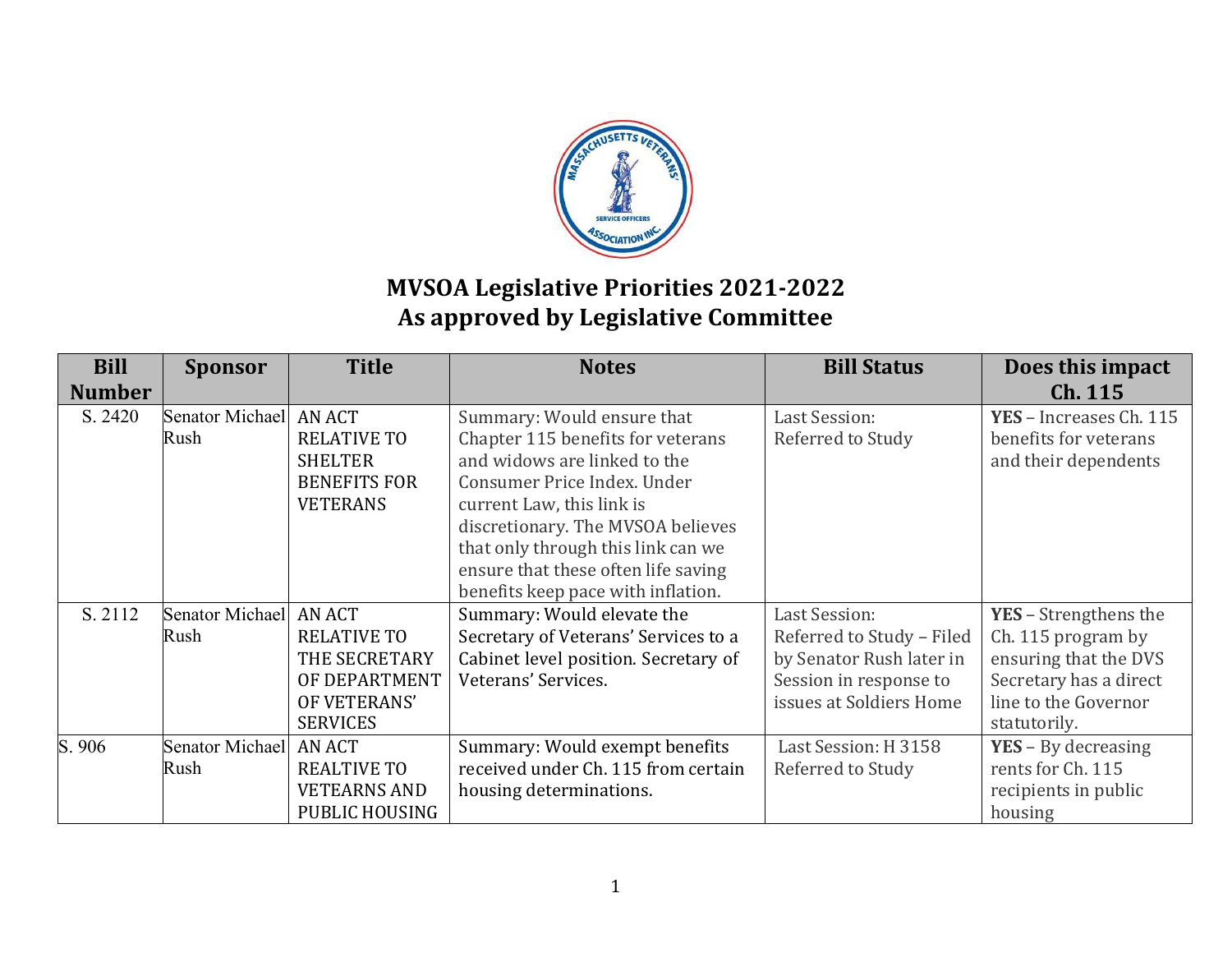

## **MVSOA Legislative Priorities 2021-2022 As approved by Legislative Committee**

| <b>Bill</b><br><b>Number</b> | <b>Sponsor</b>                 | <b>Title</b>                                                                                    | <b>Notes</b>                                                                                                                                                                                                                                                                                                        | <b>Bill Status</b>                                                                                                                 | Does this impact<br>Ch. 115                                                                                                            |
|------------------------------|--------------------------------|-------------------------------------------------------------------------------------------------|---------------------------------------------------------------------------------------------------------------------------------------------------------------------------------------------------------------------------------------------------------------------------------------------------------------------|------------------------------------------------------------------------------------------------------------------------------------|----------------------------------------------------------------------------------------------------------------------------------------|
| S. 2420                      | Senator Michael<br>Rush        | <b>AN ACT</b><br><b>RELATIVE TO</b><br><b>SHELTER</b><br><b>BENEFITS FOR</b><br><b>VETERANS</b> | Summary: Would ensure that<br>Chapter 115 benefits for veterans<br>and widows are linked to the<br>Consumer Price Index. Under<br>current Law, this link is<br>discretionary. The MVSOA believes<br>that only through this link can we<br>ensure that these often life saving<br>benefits keep pace with inflation. | <b>Last Session:</b><br>Referred to Study                                                                                          | YES - Increases Ch. 115<br>benefits for veterans<br>and their dependents                                                               |
| S. 2112                      | Senator Michael AN ACT<br>Rush | <b>RELATIVE TO</b><br>THE SECRETARY<br>OF DEPARTMENT<br>OF VETERANS'<br><b>SERVICES</b>         | Summary: Would elevate the<br>Secretary of Veterans' Services to a<br>Cabinet level position. Secretary of<br>Veterans' Services.                                                                                                                                                                                   | <b>Last Session:</b><br>Referred to Study - Filed<br>by Senator Rush later in<br>Session in response to<br>issues at Soldiers Home | YES - Strengthens the<br>Ch. 115 program by<br>ensuring that the DVS<br>Secretary has a direct<br>line to the Governor<br>statutorily. |
| S. 906                       | Senator Michael AN ACT<br>Rush | <b>REALTIVE TO</b><br><b>VETEARNS AND</b><br>PUBLIC HOUSING                                     | Summary: Would exempt benefits<br>received under Ch. 115 from certain<br>housing determinations.                                                                                                                                                                                                                    | Last Session: H 3158<br>Referred to Study                                                                                          | $YES - By decreasing$<br>rents for Ch. 115<br>recipients in public<br>housing                                                          |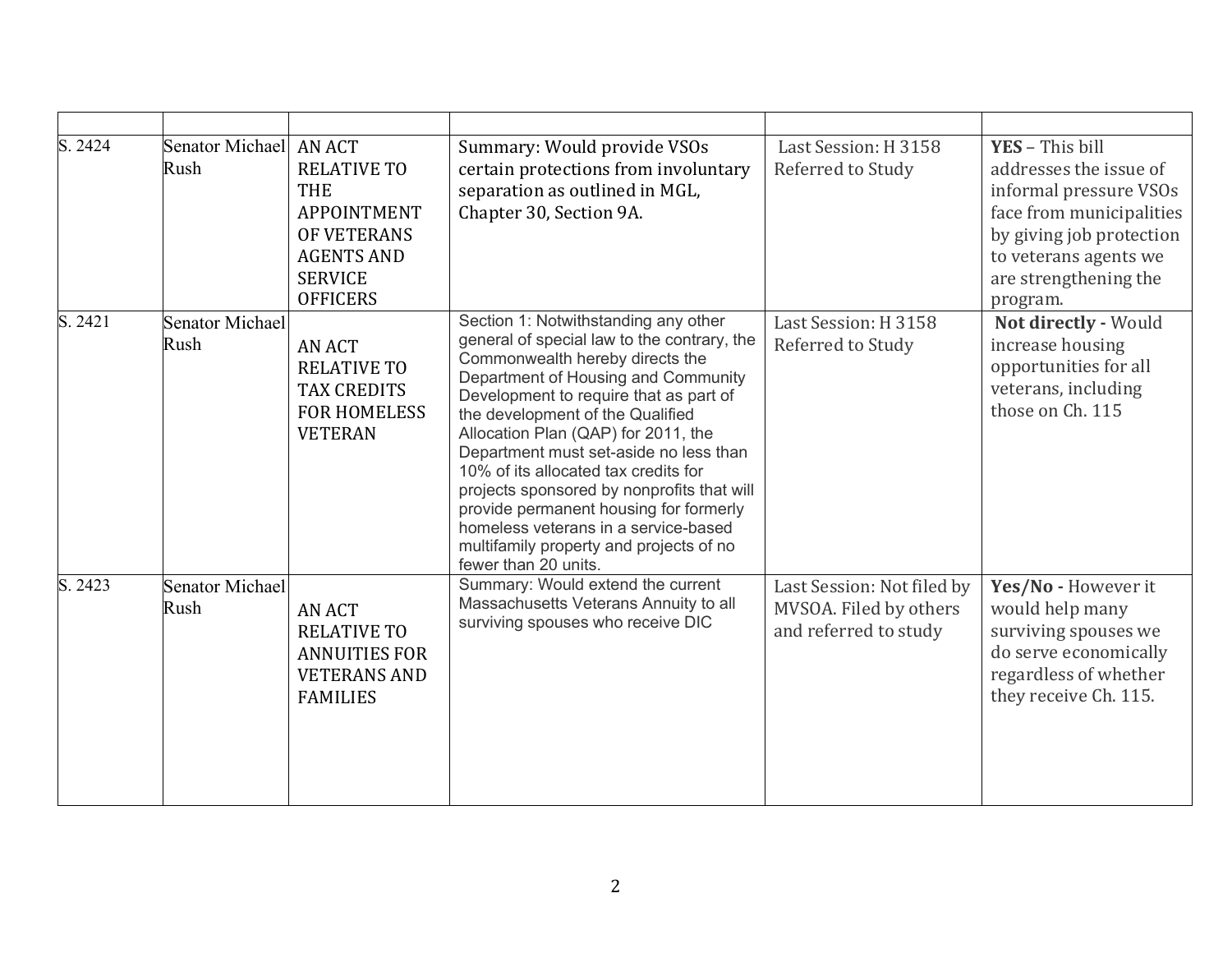| S. 2424 | Senator Michael AN ACT<br>Rush | <b>RELATIVE TO</b><br><b>THE</b><br><b>APPOINTMENT</b><br>OF VETERANS<br><b>AGENTS AND</b><br><b>SERVICE</b><br><b>OFFICERS</b> | Summary: Would provide VSOs<br>certain protections from involuntary<br>separation as outlined in MGL,<br>Chapter 30, Section 9A.                                                                                                                                                                                                                                                                                                                                                                                                                                        | Last Session: H 3158<br>Referred to Study                                     | YES - This bill<br>addresses the issue of<br>informal pressure VSOs<br>face from municipalities<br>by giving job protection<br>to veterans agents we<br>are strengthening the<br>program. |
|---------|--------------------------------|---------------------------------------------------------------------------------------------------------------------------------|-------------------------------------------------------------------------------------------------------------------------------------------------------------------------------------------------------------------------------------------------------------------------------------------------------------------------------------------------------------------------------------------------------------------------------------------------------------------------------------------------------------------------------------------------------------------------|-------------------------------------------------------------------------------|-------------------------------------------------------------------------------------------------------------------------------------------------------------------------------------------|
| S. 2421 | <b>Senator Michael</b><br>Rush | <b>AN ACT</b><br><b>RELATIVE TO</b><br><b>TAX CREDITS</b><br><b>FOR HOMELESS</b><br><b>VETERAN</b>                              | Section 1: Notwithstanding any other<br>general of special law to the contrary, the<br>Commonwealth hereby directs the<br>Department of Housing and Community<br>Development to require that as part of<br>the development of the Qualified<br>Allocation Plan (QAP) for 2011, the<br>Department must set-aside no less than<br>10% of its allocated tax credits for<br>projects sponsored by nonprofits that will<br>provide permanent housing for formerly<br>homeless veterans in a service-based<br>multifamily property and projects of no<br>fewer than 20 units. | Last Session: H 3158<br>Referred to Study                                     | Not directly - Would<br>increase housing<br>opportunities for all<br>veterans, including<br>those on Ch. 115                                                                              |
| S. 2423 | <b>Senator Michael</b><br>Rush | <b>AN ACT</b><br><b>RELATIVE TO</b><br><b>ANNUITIES FOR</b><br><b>VETERANS AND</b><br><b>FAMILIES</b>                           | Summary: Would extend the current<br>Massachusetts Veterans Annuity to all<br>surviving spouses who receive DIC                                                                                                                                                                                                                                                                                                                                                                                                                                                         | Last Session: Not filed by<br>MVSOA. Filed by others<br>and referred to study | Yes/No - However it<br>would help many<br>surviving spouses we<br>do serve economically<br>regardless of whether<br>they receive Ch. 115.                                                 |